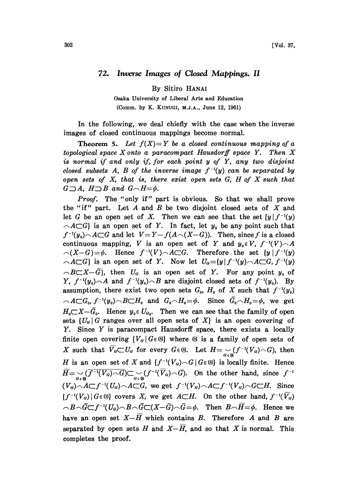## 72. Inverse Images of Closed Mappings. II

By Sitiro HANAI

Osaka University of Liberal Arts and Education (Comm. by K. KUNUGI, M.J.A., June 12, 1961)

In the following, we deal chiefly with the case when the inverse images of closed continuous mappings become normal.

**Theorem 5.** Let  $f(X)=Y$  be a closed continuous mapping of a topological space  $X$  onto a paracompact Hausdorff space  $Y$ . Then  $X$ is normal if and only if, for each point y of Y, any two disjoint closed subsets A, B of the inverse image  $f^{-1}(y)$  can be separated by open sets of X, that is, there exist open sets G, H of X such that  $G \supseteq A$ ,  $H \supseteq B$  and  $G \cap H = \phi$ .

Proof. The "only if" part is obvious. So that we shall prove the "if" part. Let  $A$  and  $B$  be two disjoint closed sets of  $X$  and let G be an open set of X. Then we can see that the set  $\{y \mid f^{-1}(y)\}$  $\Lambda \subset G$  is an open set of Y. In fact, let  $y_0$  be any point such that  $f^{-1}(y_0) \sim A \subset G$  and let  $V = Y - f(A \sim (X - G))$ . Then, since f is a closed continuous mapping, V is an open set of Y and  $y_0 \in V$ ,  $f^{-1}(V) \cap A$  $\bigcap (X-G)=\phi$ . Hence  $f^{-1}(V)\bigcap A\subset G$ . Therefore the set  $\{y \mid f^{-1}(y)\}$  $\Lambda \subset G$  is an open set of Y. Now let  $U_q = \{y \mid f^{-1}(y) \wedge A \subset G, f^{-1}(y) \}$  $\cap B \subset X - \overline{G}$ , then  $U_G$  is an open set of Y. For any point  $y_0$  of Y,  $f^{-1}(y_0) \cap A$  and  $f^{-1}(y_0) \cap B$  are disjoint closed sets of  $f^{-1}(y_0)$ . By assumption, there exist two open sets  $G_0$ ,  $H_0$  of X such that  $f^{-1}(y_0)$  $\widehat{\phantom{A}}_A\widehat{\phantom{A}}_0\widehat{\phantom{A}}_0$   $f^{-1}(y_0)\widehat{\phantom{A}}_0E\widehat{\phantom{A}}_0H_0$  and  $G_0\widehat{\phantom{A}}_0\widehat{\phantom{A}}_0=\phi$ . Since  $\widehat{G}_0\widehat{\phantom{A}}_0=\phi$ , we get  $H_0 \subset X - \bar{G}_0$ . Hence  $y_0 \in U_{G_0}$ . Then we can see that the family of open sets  $\{U_{\alpha}\mid G \text{ ranges over all open sets of } X\}$  is an open covering of Y. Since Y is paracompact Hausdorff space, there exists <sup>a</sup> locally finite open covering  ${V_q | G \in \mathcal{G}}$  where  $\mathcal G$  is a family of open sets of X such that  $\overline{V}_q \subset U_q$  for every  $G \in \mathfrak{G}$ . Let  $H = \bigcup_{G \in \mathfrak{G}} (f^{-1}(V_q) \cap G)$ , then H is an open set of X and  $\{f^{-1}(V_q)\frown G | G \in \mathcal{G}\}\$ is locally finite. Hence  $\overline{H}=\bigcup_{G\in\mathfrak{G}}(\overline{f^{-1}(V_G)\cap G})\subset \bigcup_{G\in\mathfrak{G}}(f^{-1}(\overline{V}_G)\cap \overline{G})$ . On the other hand, since  $f^{-1}$  $(V_{\alpha})\wedge A\subset f^{-1}(U_{\alpha})\wedge A\subset G$ , we get  $f^{-1}(V_{\alpha})\wedge A\subset f^{-1}(V_{\alpha})\wedge G\subset H$ . Since  ${f^{-1}(V_q) \mid G \in \mathbb{G}}$  covers X, we get  $A \subset H$ . On the other hand,  $f^{-1}(\overline{V}_q)$  $-B \cap \overline{G} \subset f^{-1}(U_q) \cap B \cap \overline{G} \subset (X - \overline{G}) \cap \overline{G} = \phi$ . Then  $B \cap \overline{H} = \phi$ . Hence we have an open set  $X-\overline{H}$  which contains B. Therefore A and B are separated by open sets H and  $X-\overline{H}$ , and so that X is normal. This completes the proof.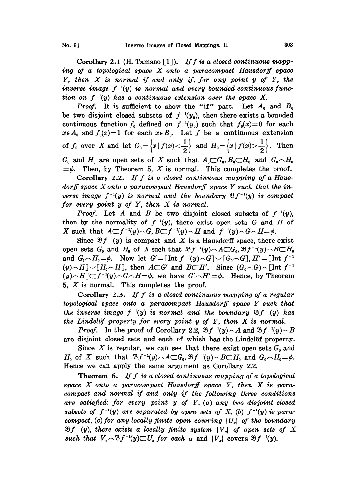Corollary 2.1 (H. Tamano [1]). If f is a closed continuous mapping of <sup>a</sup> topological space X onto <sup>a</sup> paracompact Hausdorff space  $Y$ , then  $X$  is normal if and only if, for any point  $y$  of  $Y$ , the inverse image  $f^{-1}(y)$  is normal and every bounded continuous function on  $f^{-1}(y)$  has a continuous extension over the space X.

*Proof.* It is sufficient to show the "if" part. Let  $A_0$  and  $B_0$ be two disjoint closed subsets of  $f^{-1}(y_0)$ , then there exists a bounded continuous function  $f_0$  defined on  $f^{-1}(y_0)$  such that  $f_0(x)=0$  for each  $x \in A_0$  and  $f_0(x)=1$  for each  $x \in B_0$ . Let f be a continuous extension of  $f_0$  over X and let  $G_0 = \left\{x \mid f(x) < \frac{1}{2}\right\}$  and  $H_0 = \left\{x \mid f(x) > \frac{1}{2}\right\}$ . Then  $G_0$  and  $H_0$  are open sets of X such that  $A_0 \subset G_0$ ,  $B_0 \subset H_0$  and  $G_0 \cap H_0$  $=\phi$ . Then, by Theorem 5, X is normal. This completes the proof.

Corollary 2.2. If  $f$  is a closed continuous mapping of a Hausdorff space  $X$  onto a paracompact Hausdorff space  $Y$  such that the inverse image  $f^{-1}(y)$  is normal and the boundary  $\mathfrak{B} f^{-1}(y)$  is compact for every point <sup>y</sup> of Y, then X is normal.

*Proof.* Let A and B be two disjoint closed subsets of  $f^{-1}(y)$ , then by the normality of  $f^{-1}(y)$ , there exist open sets G and H of X such that  $A \subset f^{-1}(y) \cap G$ ,  $B \subset f^{-1}(y) \cap H$  and  $f^{-1}(y) \cap G \cap H = \emptyset$ .

Since  $\mathfrak{B}f^{-1}(y)$  is compact and X is a Hausdorff space, there exist open sets  $G_0$  and  $H_0$  of X such that  $\mathfrak{B}_f^{-1}(y) \cap A \subset G_0$ ,  $\mathfrak{B}_f^{-1}(y) \cap B \subset H_0$ and  $G_0 \cap H_0 = \phi$ . Now let  $G' = \left[ \text{Int } f^{-1}(y) \cap G \right] \cup \left[ G_0 \cap G \right]$ ,  $H' = \left[ \text{Int } f^{-1}(y) \cap G \right]$  $(y) \cap H[\vee[H_0 \cap H]$ , then  $A \subset G'$  and  $B \subset H'$ . Since  $(G_0 \cap G) \cap [\text{Int } f^{-1}]$  $(y) \sim H \subset f^{-1}(y) \sim G \sim H = \phi$ , we have  $G' \sim H' = \phi$ . Hence, by Theorem 5,  $X$  is normal. This completes the proof.

Corollary 2.3. If f is a closed continuous mapping of a regular  $topological$  space onto a paracompact Hausdorff space Y such that the inverse image  $f^{-1}(y)$  is normal and the boundary  $\mathfrak{B} f^{-1}(y)$  has the Lindelöf property for every point  $y$  of  $Y$ , then  $X$  is normal.

*Proof.* In the proof of Corollary 2.2,  $\mathcal{B}f^{-1}(y)\frown A$  and  $\mathcal{B}f^{-1}(y)\frown B$ are disjoint closed sets and each of which has the Lindelöf property.

Since X is regular, we can see that there exist open sets  $G_0$  and  $H_0$  of X such that  $\mathfrak{B}_f^{-1}(y)\frown A\subset G_0$ ,  $\mathfrak{B}_f^{-1}(y)\frown B\subset H_0$  and  $G_0\frown H_0=\phi$ . Hence we can apply the same argument as Corollary 2.2.

**Theorem 6.** If f is a closed continuous mapping of a topological space  $X$  onto a paracompact Hausdorff space  $Y$ , then  $X$  is paracompact and normal if and only if the following three conditions are satisfied: for every point  $y$  of  $Y$ ,  $(a)$  any two disjoint closed subsets of  $f^{-1}(y)$  are separated by open sets of X, (b)  $f^{-1}(y)$  is paracompact, (c) for any locally finite open covering  $\{U_a\}$  of the boundary  $\mathfrak{B}f^{-1}(y)$ , there exists a locally finite system  $\{V_a\}$  of open sets of X such that  $V_{\sigma} \sim \mathfrak{B} f^{-1}(y) \subset U_{\sigma}$  for each  $\alpha$  and  $\{V_{\sigma}\}\)$  covers  $\mathfrak{B} f^{-1}(y)$ .